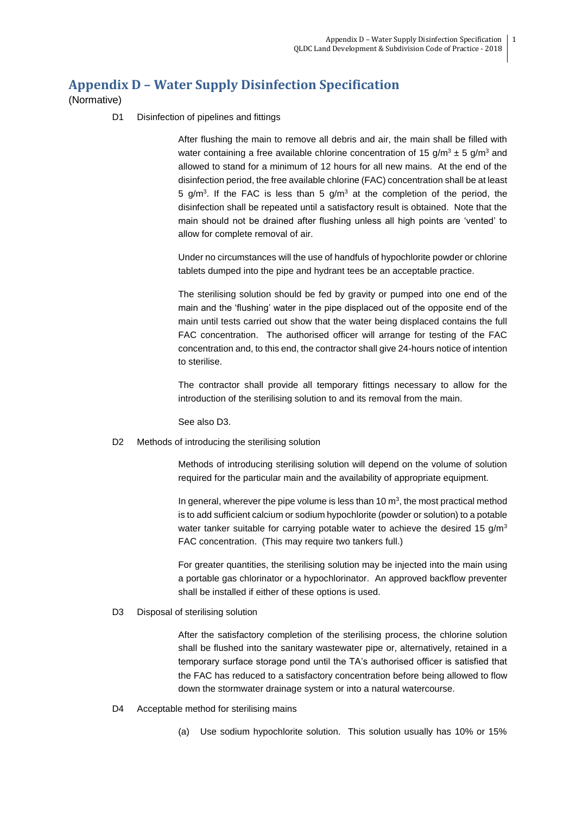## **Appendix D – Water Supply Disinfection Specification**

(Normative)

D1 Disinfection of pipelines and fittings

After flushing the main to remove all debris and air, the main shall be filled with water containing a free available chlorine concentration of 15 g/m<sup>3</sup>  $\pm$  5 g/m<sup>3</sup> and allowed to stand for a minimum of 12 hours for all new mains. At the end of the disinfection period, the free available chlorine (FAC) concentration shall be at least 5 g/m<sup>3</sup>. If the FAC is less than 5 g/m<sup>3</sup> at the completion of the period, the disinfection shall be repeated until a satisfactory result is obtained. Note that the main should not be drained after flushing unless all high points are 'vented' to allow for complete removal of air.

Under no circumstances will the use of handfuls of hypochlorite powder or chlorine tablets dumped into the pipe and hydrant tees be an acceptable practice.

The sterilising solution should be fed by gravity or pumped into one end of the main and the 'flushing' water in the pipe displaced out of the opposite end of the main until tests carried out show that the water being displaced contains the full FAC concentration. The authorised officer will arrange for testing of the FAC concentration and, to this end, the contractor shall give 24-hours notice of intention to sterilise.

The contractor shall provide all temporary fittings necessary to allow for the introduction of the sterilising solution to and its removal from the main.

See also D3.

D2 Methods of introducing the sterilising solution

Methods of introducing sterilising solution will depend on the volume of solution required for the particular main and the availability of appropriate equipment.

In general, wherever the pipe volume is less than 10  $m<sup>3</sup>$ , the most practical method is to add sufficient calcium or sodium hypochlorite (powder or solution) to a potable water tanker suitable for carrying potable water to achieve the desired 15  $g/m<sup>3</sup>$ FAC concentration. (This may require two tankers full.)

For greater quantities, the sterilising solution may be injected into the main using a portable gas chlorinator or a hypochlorinator. An approved backflow preventer shall be installed if either of these options is used.

D3 Disposal of sterilising solution

After the satisfactory completion of the sterilising process, the chlorine solution shall be flushed into the sanitary wastewater pipe or, alternatively, retained in a temporary surface storage pond until the TA's authorised officer is satisfied that the FAC has reduced to a satisfactory concentration before being allowed to flow down the stormwater drainage system or into a natural watercourse.

- D4 Acceptable method for sterilising mains
	- (a) Use sodium hypochlorite solution. This solution usually has 10% or 15%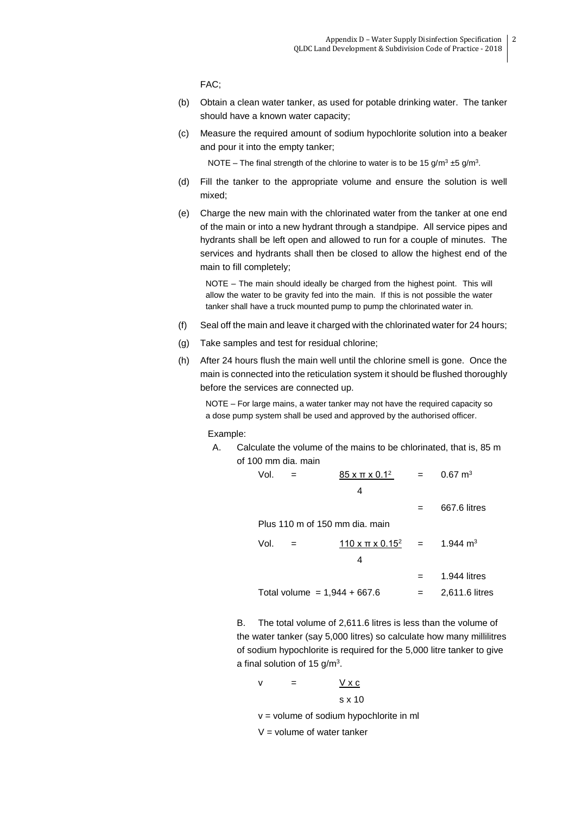FAC;

- (b) Obtain a clean water tanker, as used for potable drinking water. The tanker should have a known water capacity;
- (c) Measure the required amount of sodium hypochlorite solution into a beaker and pour it into the empty tanker;

NOTE – The final strength of the chlorine to water is to be 15  $g/m^3 \pm 5$   $g/m^3$ .

- (d) Fill the tanker to the appropriate volume and ensure the solution is well mixed;
- (e) Charge the new main with the chlorinated water from the tanker at one end of the main or into a new hydrant through a standpipe. All service pipes and hydrants shall be left open and allowed to run for a couple of minutes. The services and hydrants shall then be closed to allow the highest end of the main to fill completely;

NOTE – The main should ideally be charged from the highest point. This will allow the water to be gravity fed into the main. If this is not possible the water tanker shall have a truck mounted pump to pump the chlorinated water in.

- (f) Seal off the main and leave it charged with the chlorinated water for 24 hours;
- (g) Take samples and test for residual chlorine;
- (h) After 24 hours flush the main well until the chlorine smell is gone. Once the main is connected into the reticulation system it should be flushed thoroughly before the services are connected up.

NOTE – For large mains, a water tanker may not have the required capacity so a dose pump system shall be used and approved by the authorised officer.

Example:

A. Calculate the volume of the mains to be chlorinated, that is, 85 m of 100 mm dia. main

| Vol.                           |     | $85$ x $\pi$ x 0.1 <sup>2</sup>  | $=$ $-$ | $0.67 \text{ m}^3$ |  |  |  |
|--------------------------------|-----|----------------------------------|---------|--------------------|--|--|--|
|                                |     | 4                                |         |                    |  |  |  |
|                                |     |                                  | $=$     | 667.6 litres       |  |  |  |
| Plus 110 m of 150 mm dia. main |     |                                  |         |                    |  |  |  |
| Vol.                           | $=$ | $110 \times \pi \times 0.15^2 =$ |         | 1.944 $m3$         |  |  |  |
|                                |     | 4                                |         |                    |  |  |  |
|                                |     |                                  |         | 1.944 litres       |  |  |  |
| Total volume = $1,944 + 667.6$ |     |                                  |         | 2,611.6 litres     |  |  |  |
|                                |     |                                  |         |                    |  |  |  |

B. The total volume of 2,611.6 litres is less than the volume of the water tanker (say 5,000 litres) so calculate how many millilitres of sodium hypochlorite is required for the 5,000 litre tanker to give a final solution of 15  $g/m<sup>3</sup>$ .

$$
v = \frac{V \times c}{s \times 10}
$$

 $v =$  volume of sodium hypochlorite in ml

 $V =$  volume of water tanker